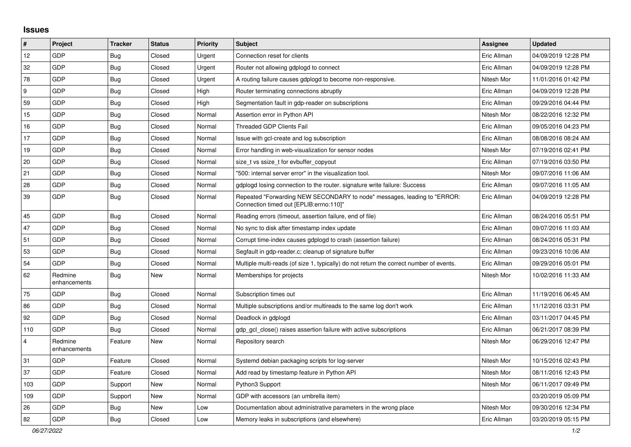## **Issues**

| $\vert$ #      | Project                 | <b>Tracker</b> | <b>Status</b> | <b>Priority</b> | <b>Subject</b>                                                                                                      | <b>Assignee</b> | <b>Updated</b>      |
|----------------|-------------------------|----------------|---------------|-----------------|---------------------------------------------------------------------------------------------------------------------|-----------------|---------------------|
| 12             | GDP                     | Bug            | Closed        | Urgent          | Connection reset for clients                                                                                        | Eric Allman     | 04/09/2019 12:28 PM |
| 32             | GDP                     | Bug            | Closed        | Urgent          | Router not allowing gdplogd to connect                                                                              | Eric Allman     | 04/09/2019 12:28 PM |
| 78             | GDP                     | <b>Bug</b>     | Closed        | Urgent          | A routing failure causes gdplogd to become non-responsive.                                                          | Nitesh Mor      | 11/01/2016 01:42 PM |
| 9              | GDP                     | Bug            | Closed        | High            | Router terminating connections abruptly                                                                             | Eric Allman     | 04/09/2019 12:28 PM |
| 59             | GDP                     | Bug            | Closed        | High            | Segmentation fault in gdp-reader on subscriptions                                                                   | Eric Allman     | 09/29/2016 04:44 PM |
| 15             | GDP                     | Bug            | Closed        | Normal          | Assertion error in Python API                                                                                       | Nitesh Mor      | 08/22/2016 12:32 PM |
| 16             | GDP                     | <b>Bug</b>     | Closed        | Normal          | <b>Threaded GDP Clients Fail</b>                                                                                    | Eric Allman     | 09/05/2016 04:23 PM |
| 17             | GDP                     | <b>Bug</b>     | Closed        | Normal          | Issue with gcl-create and log subscription                                                                          | Eric Allman     | 08/08/2016 08:24 AM |
| 19             | GDP                     | <b>Bug</b>     | Closed        | Normal          | Error handling in web-visualization for sensor nodes                                                                | Nitesh Mor      | 07/19/2016 02:41 PM |
| 20             | GDP                     | <b>Bug</b>     | Closed        | Normal          | size_t vs ssize_t for evbuffer_copyout                                                                              | Eric Allman     | 07/19/2016 03:50 PM |
| 21             | GDP                     | <b>Bug</b>     | Closed        | Normal          | '500: internal server error" in the visualization tool.                                                             | Nitesh Mor      | 09/07/2016 11:06 AM |
| 28             | GDP                     | Bug            | Closed        | Normal          | gdplogd losing connection to the router. signature write failure: Success                                           | Eric Allman     | 09/07/2016 11:05 AM |
| 39             | GDP                     | Bug            | Closed        | Normal          | Repeated "Forwarding NEW SECONDARY to node" messages, leading to "ERROR:<br>Connection timed out [EPLIB:errno:110]" | Eric Allman     | 04/09/2019 12:28 PM |
| 45             | GDP                     | <b>Bug</b>     | Closed        | Normal          | Reading errors (timeout, assertion failure, end of file)                                                            | Eric Allman     | 08/24/2016 05:51 PM |
| 47             | GDP                     | <b>Bug</b>     | Closed        | Normal          | No sync to disk after timestamp index update                                                                        | Eric Allman     | 09/07/2016 11:03 AM |
| 51             | GDP                     | Bug            | Closed        | Normal          | Corrupt time-index causes gdplogd to crash (assertion failure)                                                      | Eric Allman     | 08/24/2016 05:31 PM |
| 53             | GDP                     | Bug            | Closed        | Normal          | Segfault in gdp-reader.c; cleanup of signature buffer                                                               | Eric Allman     | 09/23/2016 10:06 AM |
| 54             | GDP                     | Bug            | Closed        | Normal          | Multiple multi-reads (of size 1, typically) do not return the correct number of events.                             | Eric Allman     | 09/29/2016 05:01 PM |
| 62             | Redmine<br>enhancements | Bug            | New           | Normal          | Memberships for projects                                                                                            | Nitesh Mor      | 10/02/2016 11:33 AM |
| 75             | GDP                     | Bug            | Closed        | Normal          | Subscription times out                                                                                              | Eric Allman     | 11/19/2016 06:45 AM |
| 86             | GDP                     | <b>Bug</b>     | Closed        | Normal          | Multiple subscriptions and/or multireads to the same log don't work                                                 | Eric Allman     | 11/12/2016 03:31 PM |
| 92             | GDP                     | Bug            | Closed        | Normal          | Deadlock in gdplogd                                                                                                 | Eric Allman     | 03/11/2017 04:45 PM |
| 110            | GDP                     | Bug            | Closed        | Normal          | gdp gcl close() raises assertion failure with active subscriptions                                                  | Eric Allman     | 06/21/2017 08:39 PM |
| $\overline{4}$ | Redmine<br>enhancements | Feature        | New           | Normal          | Repository search                                                                                                   | Nitesh Mor      | 06/29/2016 12:47 PM |
| 31             | GDP                     | Feature        | Closed        | Normal          | Systemd debian packaging scripts for log-server                                                                     | Nitesh Mor      | 10/15/2016 02:43 PM |
| 37             | GDP                     | Feature        | Closed        | Normal          | Add read by timestamp feature in Python API                                                                         | Nitesh Mor      | 08/11/2016 12:43 PM |
| 103            | GDP                     | Support        | New           | Normal          | Python3 Support                                                                                                     | Nitesh Mor      | 06/11/2017 09:49 PM |
| 109            | GDP                     | Support        | New           | Normal          | GDP with accessors (an umbrella item)                                                                               |                 | 03/20/2019 05:09 PM |
| 26             | GDP                     | Bug            | New           | Low             | Documentation about administrative parameters in the wrong place                                                    | Nitesh Mor      | 09/30/2016 12:34 PM |
| 82             | GDP                     | Bug            | Closed        | Low             | Memory leaks in subscriptions (and elsewhere)                                                                       | Eric Allman     | 03/20/2019 05:15 PM |